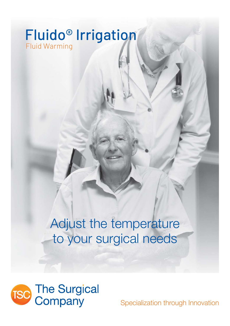# Fluid Warming Fluido® Irrigation

# Adjust the temperature to your surgical needs



Specialization through Innovation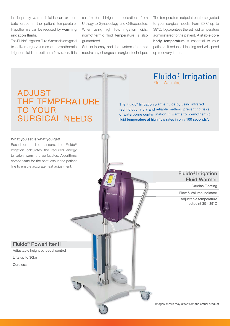Inadequately warmed fluids can exacerbate drops in the patient temperature. Hypothermia can be reduced by warming irrigation fluids.

The Fluido® Irrigation Fluid Warmer is designed to deliver large volumes of normothermic irrigation fluids at optimum flow rates. It is suitable for all irrigation applications, from Urology to Gynaecology and Orthopaedics. When using high flow irrigation fluids, normothermic fluid temperature is also guaranteed.

Set up is easy and the system does not require any changes in surgical technique.

The temperature setpoint can be adjusted to your surgical needs, from 30°C up to 39°C. It quarantees the set fluid temperature administered to the patient. A stable core body temperature is essential to your patients. It reduces bleeding and will speed up recovery time<sup>1</sup>.

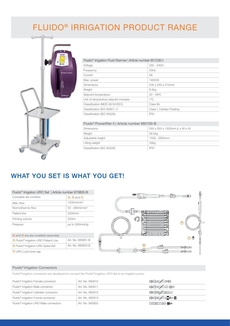## FLUIDO® IRRIGATION PRODUCT RANGE



#### Fluido® Irrigation Fluid Warmer | Article number 651230-I

| Voltage                               | $220 - 240V -$            |
|---------------------------------------|---------------------------|
| Frequency                             | 50Hz                      |
| Current                               | 6A                        |
| Max. power                            | 1400VA                    |
| <b>Dimensions</b>                     | 435 x 250 x 315mm         |
| Weight                                | 9.5 <sub>kq</sub>         |
| Setpoint temperature                  | $30 - 39^{\circ}$ C       |
| Unit of temperature setpoint increase | $1^{\circ}$ C             |
| Classification (MDD 93/42/EEC)        | Class IIb                 |
| Classification (IEC 60601-1)          | Class I, Cardiac Floating |
| Classification (IEC 60529)            | IPX1                      |

#### Fluido® Powerlifter II | Article number 660100-B

| <b>Dimensions</b>          | 550 x 550 x 1500mm (L x W x H) |
|----------------------------|--------------------------------|
| Weight                     | 36.5kg                         |
| Adjustable height          | 1500 - 2650mm                  |
| Lifting weight             | 30kg                           |
| Classification (IEC 60529) | IPX1                           |

## WHAT YOU SET IS WHAT YOU GET!

| Fluido <sup>®</sup> Irrigation URO Set   Article number 670800-B |                                |  |  |
|------------------------------------------------------------------|--------------------------------|--|--|
| Complete set contains                                            | $\odot$ $\odot$ and $\odot$    |  |  |
| Max. flow                                                        | $1400$ ml/min $3$              |  |  |
| Normothermic flow                                                | $50 - 680$ ml/min <sup>4</sup> |  |  |
| Patient line                                                     | 2000mm                         |  |  |
| Priming volume                                                   | 220ml                          |  |  |
| Pressure                                                         | up to 300mmHq                  |  |  |

| <b>6</b> Fluido <sup>®</sup> Irrigation URO Spike Set        | Art. No. 680803-B |
|--------------------------------------------------------------|-------------------|
| <sup>4</sup> Fluido <sup>®</sup> Irrigation URO Patient Line | Art. No. 680801-B |
| a) and $\Phi$ are also available seperately                  |                   |

 $\square \square \square$  $\pm$   $\pm$  $\bigcirc$  $\circled{a}$  $C - 5$ b  $\overline{ }$  $\overline{E}$ की व  $\sqcap$   $\sqcap$ 

**IDE** 

<sup>©</sup> URO Lock bore cap

#### Fluido® Irrigation Connectors

Fluido® Irrigation connectors are developed to connect the Fluido® Irrigation URO Set to an irrigation pump.

| Fluido <sup>®</sup> Irrigation Female connector    | Art. No. 680910 | <b>CA BOZ HO</b>         |
|----------------------------------------------------|-----------------|--------------------------|
| Fluido <sup>®</sup> Irrigation Male connector      | Art. No. 680911 | <b>400 200 D</b>         |
| Fluido <sup>®</sup> Irrigation Catheter connector  | Art. No. 680912 | <b>CODE 200</b>          |
| Fluido <sup>®</sup> Irrigation Funnel connector    | Art. No. 680913 | <b>CDI 2000 CDI 2000</b> |
| Fluido <sup>®</sup> Irrigation URO Male connection | Art. No. 680805 | <b>ECOLOGY</b>           |

自唱